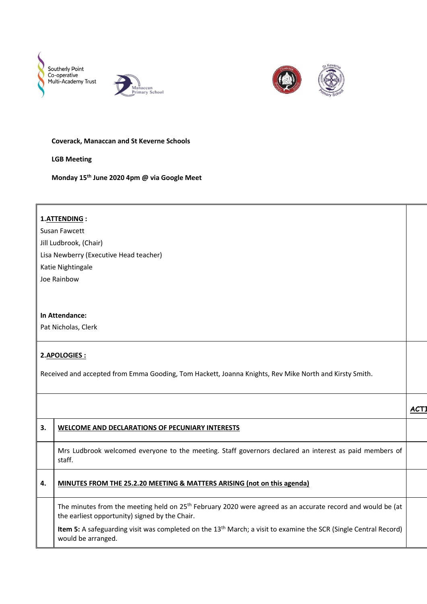





## **Coverack, Manaccan and St Keverne Schools**

**LGB Meeting**

**Monday 15th June 2020 4pm @ via Google Meet**

|                     | 1.ATTENDING:                                                                                                                 |                  |  |  |
|---------------------|------------------------------------------------------------------------------------------------------------------------------|------------------|--|--|
|                     | Susan Fawcett                                                                                                                |                  |  |  |
|                     | Jill Ludbrook, (Chair)                                                                                                       |                  |  |  |
|                     | Lisa Newberry (Executive Head teacher)                                                                                       |                  |  |  |
|                     | Katie Nightingale                                                                                                            |                  |  |  |
|                     | Joe Rainbow                                                                                                                  |                  |  |  |
|                     |                                                                                                                              |                  |  |  |
|                     |                                                                                                                              |                  |  |  |
| In Attendance:      |                                                                                                                              |                  |  |  |
| Pat Nicholas, Clerk |                                                                                                                              |                  |  |  |
|                     |                                                                                                                              |                  |  |  |
|                     | 2.APOLOGIES:                                                                                                                 |                  |  |  |
|                     |                                                                                                                              |                  |  |  |
|                     | Received and accepted from Emma Gooding, Tom Hackett, Joanna Knights, Rev Mike North and Kirsty Smith.                       |                  |  |  |
|                     |                                                                                                                              |                  |  |  |
|                     |                                                                                                                              |                  |  |  |
|                     |                                                                                                                              | ACT <sub>1</sub> |  |  |
| 3.                  | <b>WELCOME AND DECLARATIONS OF PECUNIARY INTERESTS</b>                                                                       |                  |  |  |
|                     |                                                                                                                              |                  |  |  |
|                     | Mrs Ludbrook welcomed everyone to the meeting. Staff governors declared an interest as paid members of                       |                  |  |  |
|                     | staff.                                                                                                                       |                  |  |  |
| 4.                  |                                                                                                                              |                  |  |  |
|                     | MINUTES FROM THE 25.2.20 MEETING & MATTERS ARISING (not on this agenda)                                                      |                  |  |  |
|                     | The minutes from the meeting held on 25 <sup>th</sup> February 2020 were agreed as an accurate record and would be (at       |                  |  |  |
|                     | the earliest opportunity) signed by the Chair.                                                                               |                  |  |  |
|                     | Item 5: A safeguarding visit was completed on the 13 <sup>th</sup> March; a visit to examine the SCR (Single Central Record) |                  |  |  |
|                     | would be arranged.                                                                                                           |                  |  |  |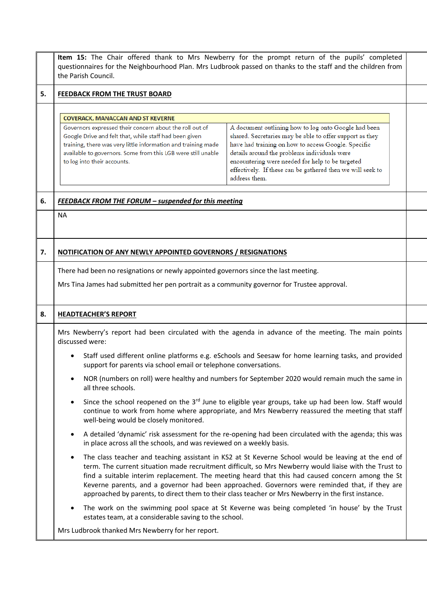|    | Item 15: The Chair offered thank to Mrs Newberry for the prompt return of the pupils' completed<br>questionnaires for the Neighbourhood Plan. Mrs Ludbrook passed on thanks to the staff and the children from<br>the Parish Council.                                                                                                                                                                                                                                                                                                                                                                                                                                                       |  |  |
|----|---------------------------------------------------------------------------------------------------------------------------------------------------------------------------------------------------------------------------------------------------------------------------------------------------------------------------------------------------------------------------------------------------------------------------------------------------------------------------------------------------------------------------------------------------------------------------------------------------------------------------------------------------------------------------------------------|--|--|
| 5. | FEEDBACK FROM THE TRUST BOARD                                                                                                                                                                                                                                                                                                                                                                                                                                                                                                                                                                                                                                                               |  |  |
|    | <b>COVERACK, MANACCAN AND ST KEVERNE</b><br>A document outlining how to log onto Google had been<br>Governors expressed their concern about the roll out of<br>shared. Secretaries may be able to offer support as they<br>Google Drive and felt that, while staff had been given<br>have had training on how to access Google. Specific<br>training, there was very little information and training made<br>details around the problems individuals were<br>available to governors. Some from this LGB were still unable<br>encountering were needed for help to be targeted<br>to log into their accounts.<br>effectively. If these can be gathered then we will seek to<br>address them. |  |  |
| 6. | FEEDBACK FROM THE FORUM - suspended for this meeting                                                                                                                                                                                                                                                                                                                                                                                                                                                                                                                                                                                                                                        |  |  |
|    | <b>NA</b>                                                                                                                                                                                                                                                                                                                                                                                                                                                                                                                                                                                                                                                                                   |  |  |
| 7. | NOTIFICATION OF ANY NEWLY APPOINTED GOVERNORS / RESIGNATIONS                                                                                                                                                                                                                                                                                                                                                                                                                                                                                                                                                                                                                                |  |  |
|    | There had been no resignations or newly appointed governors since the last meeting.<br>Mrs Tina James had submitted her pen portrait as a community governor for Trustee approval.                                                                                                                                                                                                                                                                                                                                                                                                                                                                                                          |  |  |
| 8. | <b>HEADTEACHER'S REPORT</b>                                                                                                                                                                                                                                                                                                                                                                                                                                                                                                                                                                                                                                                                 |  |  |
|    | Mrs Newberry's report had been circulated with the agenda in advance of the meeting. The main points<br>discussed were:                                                                                                                                                                                                                                                                                                                                                                                                                                                                                                                                                                     |  |  |
|    | Staff used different online platforms e.g. eSchools and Seesaw for home learning tasks, and provided<br>support for parents via school email or telephone conversations.                                                                                                                                                                                                                                                                                                                                                                                                                                                                                                                    |  |  |
|    | NOR (numbers on roll) were healthy and numbers for September 2020 would remain much the same in<br>all three schools.                                                                                                                                                                                                                                                                                                                                                                                                                                                                                                                                                                       |  |  |
|    | Since the school reopened on the 3rd June to eligible year groups, take up had been low. Staff would<br>$\bullet$<br>continue to work from home where appropriate, and Mrs Newberry reassured the meeting that staff<br>well-being would be closely monitored.                                                                                                                                                                                                                                                                                                                                                                                                                              |  |  |
|    | A detailed 'dynamic' risk assessment for the re-opening had been circulated with the agenda; this was<br>in place across all the schools, and was reviewed on a weekly basis.                                                                                                                                                                                                                                                                                                                                                                                                                                                                                                               |  |  |
|    | The class teacher and teaching assistant in KS2 at St Keverne School would be leaving at the end of<br>$\bullet$<br>term. The current situation made recruitment difficult, so Mrs Newberry would liaise with the Trust to<br>find a suitable interim replacement. The meeting heard that this had caused concern among the St<br>Keverne parents, and a governor had been approached. Governors were reminded that, if they are<br>approached by parents, to direct them to their class teacher or Mrs Newberry in the first instance.                                                                                                                                                     |  |  |
|    | The work on the swimming pool space at St Keverne was being completed 'in house' by the Trust<br>estates team, at a considerable saving to the school.                                                                                                                                                                                                                                                                                                                                                                                                                                                                                                                                      |  |  |
|    | Mrs Ludbrook thanked Mrs Newberry for her report.                                                                                                                                                                                                                                                                                                                                                                                                                                                                                                                                                                                                                                           |  |  |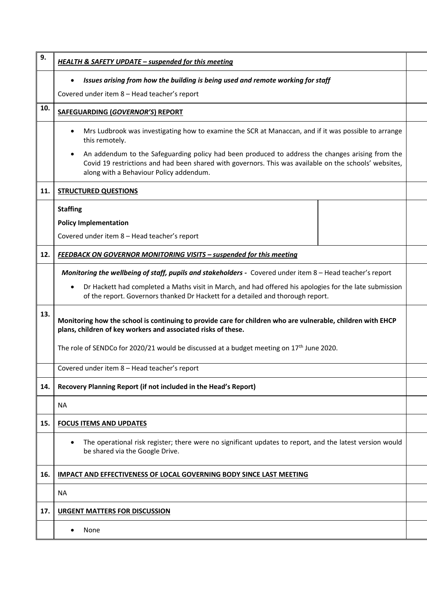| 9.  | <b>HEALTH &amp; SAFETY UPDATE - suspended for this meeting</b>                                                                                                                                                                                        |  |
|-----|-------------------------------------------------------------------------------------------------------------------------------------------------------------------------------------------------------------------------------------------------------|--|
|     | Issues arising from how the building is being used and remote working for staff<br>$\bullet$                                                                                                                                                          |  |
|     | Covered under item 8 - Head teacher's report                                                                                                                                                                                                          |  |
| 10. | SAFEGUARDING (GOVERNOR'S) REPORT                                                                                                                                                                                                                      |  |
|     | Mrs Ludbrook was investigating how to examine the SCR at Manaccan, and if it was possible to arrange<br>this remotely.                                                                                                                                |  |
|     | An addendum to the Safeguarding policy had been produced to address the changes arising from the<br>Covid 19 restrictions and had been shared with governors. This was available on the schools' websites,<br>along with a Behaviour Policy addendum. |  |
| 11. | <b>STRUCTURED QUESTIONS</b>                                                                                                                                                                                                                           |  |
|     | <b>Staffing</b>                                                                                                                                                                                                                                       |  |
|     | <b>Policy Implementation</b>                                                                                                                                                                                                                          |  |
|     | Covered under item 8 - Head teacher's report                                                                                                                                                                                                          |  |
| 12. | <b>FEEDBACK ON GOVERNOR MONITORING VISITS - suspended for this meeting</b>                                                                                                                                                                            |  |
|     | Monitoring the wellbeing of staff, pupils and stakeholders - Covered under item 8 - Head teacher's report                                                                                                                                             |  |
|     | Dr Hackett had completed a Maths visit in March, and had offered his apologies for the late submission<br>of the report. Governors thanked Dr Hackett for a detailed and thorough report.                                                             |  |
| 13. | Monitoring how the school is continuing to provide care for children who are vulnerable, children with EHCP<br>plans, children of key workers and associated risks of these.                                                                          |  |
|     | The role of SENDCo for 2020/21 would be discussed at a budget meeting on $17th$ June 2020.                                                                                                                                                            |  |
|     | Covered under item 8 - Head teacher's report                                                                                                                                                                                                          |  |
| 14. | Recovery Planning Report (if not included in the Head's Report)                                                                                                                                                                                       |  |
|     | <b>NA</b>                                                                                                                                                                                                                                             |  |
| 15. | <b>FOCUS ITEMS AND UPDATES</b>                                                                                                                                                                                                                        |  |
|     | The operational risk register; there were no significant updates to report, and the latest version would<br>be shared via the Google Drive.                                                                                                           |  |
| 16. | <b>IMPACT AND EFFECTIVENESS OF LOCAL GOVERNING BODY SINCE LAST MEETING</b>                                                                                                                                                                            |  |
|     | <b>NA</b>                                                                                                                                                                                                                                             |  |
| 17. | <b>URGENT MATTERS FOR DISCUSSION</b>                                                                                                                                                                                                                  |  |
|     | None                                                                                                                                                                                                                                                  |  |